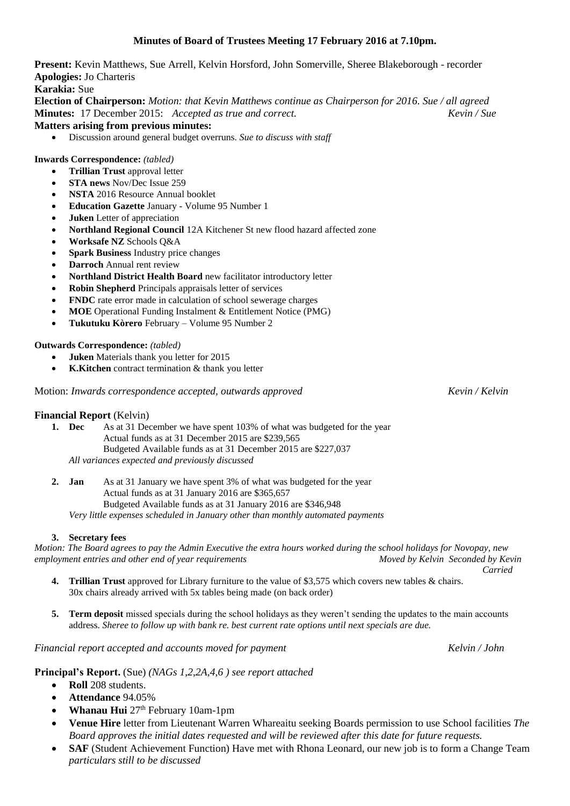# **Minutes of Board of Trustees Meeting 17 February 2016 at 7.10pm.**

**Present:** Kevin Matthews, Sue Arrell, Kelvin Horsford, John Somerville, Sheree Blakeborough - recorder **Apologies:** Jo Charteris

**Karakia:** Sue

**Election of Chairperson:** *Motion: that Kevin Matthews continue as Chairperson for 2016. Sue / all agreed* **Minutes:** 17 December 2015: *Accepted as true and correct. Kevin / Sue*

**Matters arising from previous minutes:**

Discussion around general budget overruns. *Sue to discuss with staff*

### **Inwards Correspondence:** *(tabled)*

- **Trillian Trust** approval letter
- **STA news** Nov/Dec Issue 259
- **NSTA** 2016 Resource Annual booklet
- **Education Gazette** January Volume 95 Number 1
- **Juken** Letter of appreciation
- **Northland Regional Council** 12A Kitchener St new flood hazard affected zone
- **Worksafe NZ** Schools Q&A
- **Spark Business** Industry price changes
- **Darroch** Annual rent review
- **Northland District Health Board** new facilitator introductory letter
- **Robin Shepherd** Principals appraisals letter of services
- **FNDC** rate error made in calculation of school sewerage charges
- **MOE** Operational Funding Instalment & Entitlement Notice (PMG)
- **Tukutuku Kòrero** February Volume 95 Number 2

## **Outwards Correspondence:** *(tabled)*

- **Juken** Materials thank you letter for 2015
- **K.Kitchen** contract termination & thank you letter

Motion: *Inwards correspondence accepted, outwards approved Kevin / Kelvin*

#### **Financial Report** (Kelvin)

**1. Dec** As at 31 December we have spent 103% of what was budgeted for the year Actual funds as at 31 December 2015 are \$239,565 Budgeted Available funds as at 31 December 2015 are \$227,037 *All variances expected and previously discussed*

**2. Jan** As at 31 January we have spent 3% of what was budgeted for the year Actual funds as at 31 January 2016 are \$365,657 Budgeted Available funds as at 31 January 2016 are \$346,948 *Very little expenses scheduled in January other than monthly automated payments*

#### **3. Secretary fees**

*Motion: The Board agrees to pay the Admin Executive the extra hours worked during the school holidays for Novopay, new employment entries and other end of year requirements Moved by Kelvin Seconded by Kevin Carried*

- **4. Trillian Trust** approved for Library furniture to the value of \$3,575 which covers new tables & chairs. 30x chairs already arrived with 5x tables being made (on back order)
- **5. Term deposit** missed specials during the school holidays as they weren't sending the updates to the main accounts address. *Sheree to follow up with bank re. best current rate options until next specials are due.*

*Financial report accepted and accounts moved for payment Kelvin / John*

**Principal's Report.** (Sue) *(NAGs 1,2,2A,4,6 ) see report attached*

- **Roll** 208 students.
- **Attendance** 94.05%
- **Whanau Hui** 27<sup>th</sup> February 10am-1pm
- **Venue Hire** letter from Lieutenant Warren Whareaitu seeking Boards permission to use School facilities *The Board approves the initial dates requested and will be reviewed after this date for future requests.*
- **SAF** (Student Achievement Function) Have met with Rhona Leonard, our new job is to form a Change Team *particulars still to be discussed*